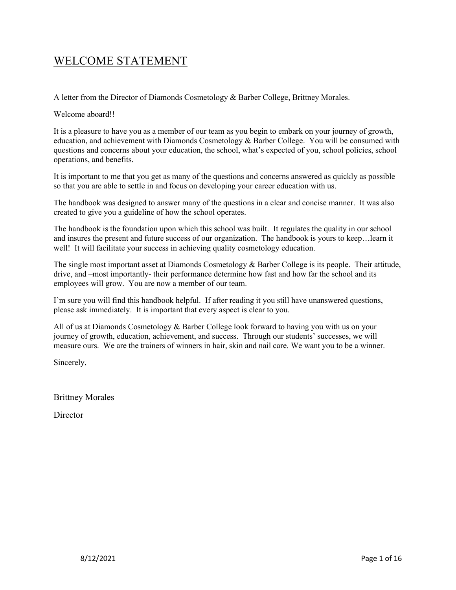# WELCOME STATEMENT

A letter from the Director of Diamonds Cosmetology & Barber College, Brittney Morales.

Welcome aboard!!

It is a pleasure to have you as a member of our team as you begin to embark on your journey of growth, education, and achievement with Diamonds Cosmetology & Barber College. You will be consumed with questions and concerns about your education, the school, what's expected of you, school policies, school operations, and benefits.

It is important to me that you get as many of the questions and concerns answered as quickly as possible so that you are able to settle in and focus on developing your career education with us.

The handbook was designed to answer many of the questions in a clear and concise manner. It was also created to give you a guideline of how the school operates.

The handbook is the foundation upon which this school was built. It regulates the quality in our school and insures the present and future success of our organization. The handbook is yours to keep…learn it well! It will facilitate your success in achieving quality cosmetology education.

The single most important asset at Diamonds Cosmetology & Barber College is its people. Their attitude, drive, and –most importantly- their performance determine how fast and how far the school and its employees will grow. You are now a member of our team.

I'm sure you will find this handbook helpful. If after reading it you still have unanswered questions, please ask immediately. It is important that every aspect is clear to you.

All of us at Diamonds Cosmetology & Barber College look forward to having you with us on your journey of growth, education, achievement, and success. Through our students' successes, we will measure ours. We are the trainers of winners in hair, skin and nail care. We want you to be a winner.

Sincerely,

Brittney Morales

**Director**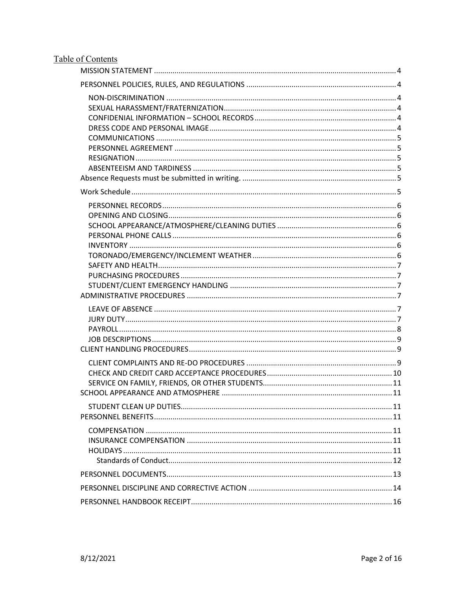# Table of Contents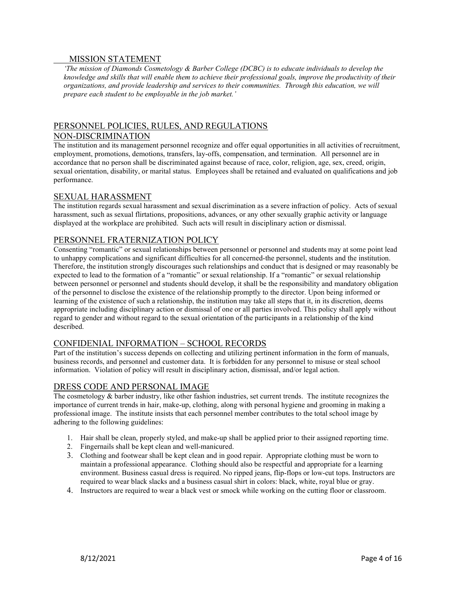#### MISSION STATEMENT

'The mission of Diamonds Cosmetology & Barber College (DCBC) is to educate individuals to develop the knowledge and skills that will enable them to achieve their professional goals, improve the productivity of their organizations, and provide leadership and services to their communities. Through this education, we will prepare each student to be employable in the job market.'

# PERSONNEL POLICIES, RULES, AND REGULATIONS

### NON-DISCRIMINATION

The institution and its management personnel recognize and offer equal opportunities in all activities of recruitment, employment, promotions, demotions, transfers, lay-offs, compensation, and termination. All personnel are in accordance that no person shall be discriminated against because of race, color, religion, age, sex, creed, origin, sexual orientation, disability, or marital status. Employees shall be retained and evaluated on qualifications and job performance.

#### SEXUAL HARASSMENT

The institution regards sexual harassment and sexual discrimination as a severe infraction of policy. Acts of sexual harassment, such as sexual flirtations, propositions, advances, or any other sexually graphic activity or language displayed at the workplace are prohibited. Such acts will result in disciplinary action or dismissal.

# PERSONNEL FRATERNIZATION POLICY

Consenting "romantic" or sexual relationships between personnel or personnel and students may at some point lead to unhappy complications and significant difficulties for all concerned-the personnel, students and the institution. Therefore, the institution strongly discourages such relationships and conduct that is designed or may reasonably be expected to lead to the formation of a "romantic" or sexual relationship. If a "romantic" or sexual relationship between personnel or personnel and students should develop, it shall be the responsibility and mandatory obligation of the personnel to disclose the existence of the relationship promptly to the director. Upon being informed or learning of the existence of such a relationship, the institution may take all steps that it, in its discretion, deems appropriate including disciplinary action or dismissal of one or all parties involved. This policy shall apply without regard to gender and without regard to the sexual orientation of the participants in a relationship of the kind described.

# CONFIDENIAL INFORMATION – SCHOOL RECORDS

Part of the institution's success depends on collecting and utilizing pertinent information in the form of manuals, business records, and personnel and customer data. It is forbidden for any personnel to misuse or steal school information. Violation of policy will result in disciplinary action, dismissal, and/or legal action.

# DRESS CODE AND PERSONAL IMAGE

The cosmetology  $&$  barber industry, like other fashion industries, set current trends. The institute recognizes the importance of current trends in hair, make-up, clothing, along with personal hygiene and grooming in making a professional image. The institute insists that each personnel member contributes to the total school image by adhering to the following guidelines:

- 1. Hair shall be clean, properly styled, and make-up shall be applied prior to their assigned reporting time.
- 2. Fingernails shall be kept clean and well-manicured.
- 3. Clothing and footwear shall be kept clean and in good repair. Appropriate clothing must be worn to maintain a professional appearance. Clothing should also be respectful and appropriate for a learning environment. Business casual dress is required. No ripped jeans, flip-flops or low-cut tops. Instructors are required to wear black slacks and a business casual shirt in colors: black, white, royal blue or gray.
- 4. Instructors are required to wear a black vest or smock while working on the cutting floor or classroom.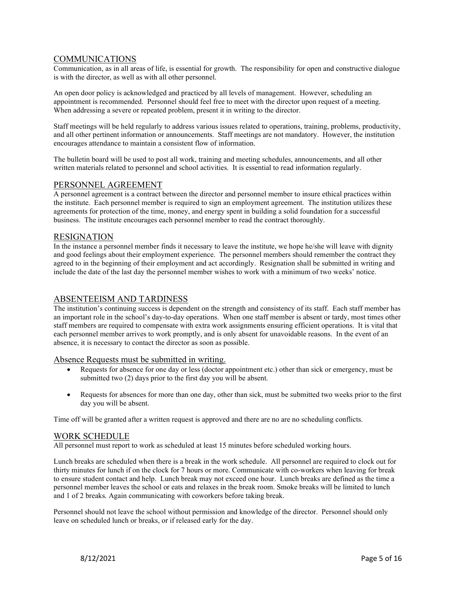#### COMMUNICATIONS

Communication, as in all areas of life, is essential for growth. The responsibility for open and constructive dialogue is with the director, as well as with all other personnel.

An open door policy is acknowledged and practiced by all levels of management. However, scheduling an appointment is recommended. Personnel should feel free to meet with the director upon request of a meeting. When addressing a severe or repeated problem, present it in writing to the director.

Staff meetings will be held regularly to address various issues related to operations, training, problems, productivity, and all other pertinent information or announcements. Staff meetings are not mandatory. However, the institution encourages attendance to maintain a consistent flow of information.

The bulletin board will be used to post all work, training and meeting schedules, announcements, and all other written materials related to personnel and school activities. It is essential to read information regularly.

#### PERSONNEL AGREEMENT

A personnel agreement is a contract between the director and personnel member to insure ethical practices within the institute. Each personnel member is required to sign an employment agreement. The institution utilizes these agreements for protection of the time, money, and energy spent in building a solid foundation for a successful business. The institute encourages each personnel member to read the contract thoroughly.

#### RESIGNATION

In the instance a personnel member finds it necessary to leave the institute, we hope he/she will leave with dignity and good feelings about their employment experience. The personnel members should remember the contract they agreed to in the beginning of their employment and act accordingly. Resignation shall be submitted in writing and include the date of the last day the personnel member wishes to work with a minimum of two weeks' notice.

#### ABSENTEEISM AND TARDINESS

The institution's continuing success is dependent on the strength and consistency of its staff. Each staff member has an important role in the school's day-to-day operations. When one staff member is absent or tardy, most times other staff members are required to compensate with extra work assignments ensuring efficient operations. It is vital that each personnel member arrives to work promptly, and is only absent for unavoidable reasons. In the event of an absence, it is necessary to contact the director as soon as possible.

#### Absence Requests must be submitted in writing.

- Requests for absence for one day or less (doctor appointment etc.) other than sick or emergency, must be submitted two (2) days prior to the first day you will be absent.
- Requests for absences for more than one day, other than sick, must be submitted two weeks prior to the first day you will be absent.

Time off will be granted after a written request is approved and there are no are no scheduling conflicts.

#### WORK SCHEDULE

All personnel must report to work as scheduled at least 15 minutes before scheduled working hours.

Lunch breaks are scheduled when there is a break in the work schedule. All personnel are required to clock out for thirty minutes for lunch if on the clock for 7 hours or more. Communicate with co-workers when leaving for break to ensure student contact and help. Lunch break may not exceed one hour. Lunch breaks are defined as the time a personnel member leaves the school or eats and relaxes in the break room. Smoke breaks will be limited to lunch and 1 of 2 breaks. Again communicating with coworkers before taking break.

Personnel should not leave the school without permission and knowledge of the director. Personnel should only leave on scheduled lunch or breaks, or if released early for the day.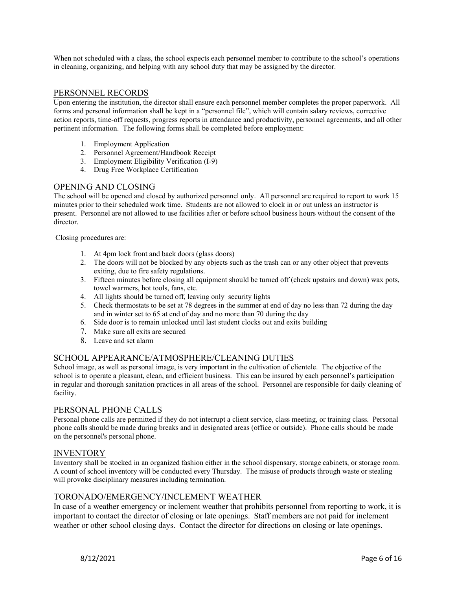When not scheduled with a class, the school expects each personnel member to contribute to the school's operations in cleaning, organizing, and helping with any school duty that may be assigned by the director.

#### PERSONNEL RECORDS

Upon entering the institution, the director shall ensure each personnel member completes the proper paperwork. All forms and personal information shall be kept in a "personnel file", which will contain salary reviews, corrective action reports, time-off requests, progress reports in attendance and productivity, personnel agreements, and all other pertinent information. The following forms shall be completed before employment:

- 1. Employment Application
- 2. Personnel Agreement/Handbook Receipt
- 3. Employment Eligibility Verification (I-9)
- 4. Drug Free Workplace Certification

#### OPENING AND CLOSING

The school will be opened and closed by authorized personnel only. All personnel are required to report to work 15 minutes prior to their scheduled work time. Students are not allowed to clock in or out unless an instructor is present. Personnel are not allowed to use facilities after or before school business hours without the consent of the director.

Closing procedures are:

- 1. At 4pm lock front and back doors (glass doors)
- 2. The doors will not be blocked by any objects such as the trash can or any other object that prevents exiting, due to fire safety regulations.
- 3. Fifteen minutes before closing all equipment should be turned off (check upstairs and down) wax pots, towel warmers, hot tools, fans, etc.
- 4. All lights should be turned off, leaving only security lights
- 5. Check thermostats to be set at 78 degrees in the summer at end of day no less than 72 during the day and in winter set to 65 at end of day and no more than 70 during the day
- 6. Side door is to remain unlocked until last student clocks out and exits building
- 7. Make sure all exits are secured
- 8. Leave and set alarm

### SCHOOL APPEARANCE/ATMOSPHERE/CLEANING DUTIES

School image, as well as personal image, is very important in the cultivation of clientele. The objective of the school is to operate a pleasant, clean, and efficient business. This can be insured by each personnel's participation in regular and thorough sanitation practices in all areas of the school. Personnel are responsible for daily cleaning of facility.

#### PERSONAL PHONE CALLS

Personal phone calls are permitted if they do not interrupt a client service, class meeting, or training class. Personal phone calls should be made during breaks and in designated areas (office or outside). Phone calls should be made on the personnel's personal phone.

#### INVENTORY

Inventory shall be stocked in an organized fashion either in the school dispensary, storage cabinets, or storage room. A count of school inventory will be conducted every Thursday. The misuse of products through waste or stealing will provoke disciplinary measures including termination.

#### TORONADO/EMERGENCY/INCLEMENT WEATHER

In case of a weather emergency or inclement weather that prohibits personnel from reporting to work, it is important to contact the director of closing or late openings. Staff members are not paid for inclement weather or other school closing days. Contact the director for directions on closing or late openings.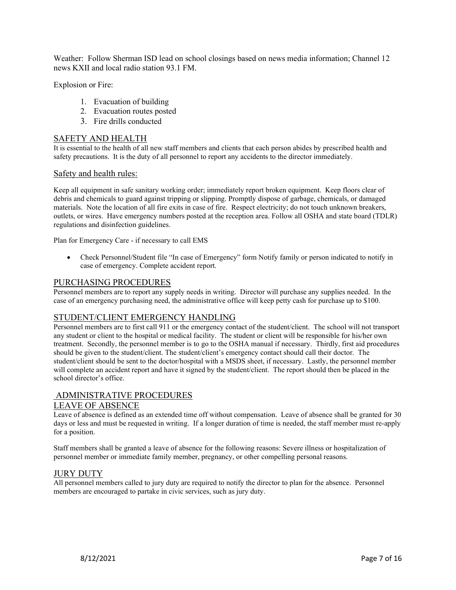Weather: Follow Sherman ISD lead on school closings based on news media information; Channel 12 news KXII and local radio station 93.1 FM.

Explosion or Fire:

- 1. Evacuation of building
- 2. Evacuation routes posted
- 3. Fire drills conducted

#### SAFETY AND HEALTH

It is essential to the health of all new staff members and clients that each person abides by prescribed health and safety precautions. It is the duty of all personnel to report any accidents to the director immediately.

#### Safety and health rules:

Keep all equipment in safe sanitary working order; immediately report broken equipment. Keep floors clear of debris and chemicals to guard against tripping or slipping. Promptly dispose of garbage, chemicals, or damaged materials. Note the location of all fire exits in case of fire. Respect electricity; do not touch unknown breakers, outlets, or wires. Have emergency numbers posted at the reception area. Follow all OSHA and state board (TDLR) regulations and disinfection guidelines.

Plan for Emergency Care - if necessary to call EMS

 Check Personnel/Student file "In case of Emergency" form Notify family or person indicated to notify in case of emergency. Complete accident report.

#### PURCHASING PROCEDURES

Personnel members are to report any supply needs in writing. Director will purchase any supplies needed. In the case of an emergency purchasing need, the administrative office will keep petty cash for purchase up to \$100.

#### STUDENT/CLIENT EMERGENCY HANDLING

Personnel members are to first call 911 or the emergency contact of the student/client. The school will not transport any student or client to the hospital or medical facility. The student or client will be responsible for his/her own treatment. Secondly, the personnel member is to go to the OSHA manual if necessary. Thirdly, first aid procedures should be given to the student/client. The student/client's emergency contact should call their doctor. The student/client should be sent to the doctor/hospital with a MSDS sheet, if necessary. Lastly, the personnel member will complete an accident report and have it signed by the student/client. The report should then be placed in the school director's office.

# ADMINISTRATIVE PROCEDURES

#### LEAVE OF ABSENCE

Leave of absence is defined as an extended time off without compensation. Leave of absence shall be granted for 30 days or less and must be requested in writing. If a longer duration of time is needed, the staff member must re-apply for a position.

Staff members shall be granted a leave of absence for the following reasons: Severe illness or hospitalization of personnel member or immediate family member, pregnancy, or other compelling personal reasons.

#### JURY DUTY

All personnel members called to jury duty are required to notify the director to plan for the absence. Personnel members are encouraged to partake in civic services, such as jury duty.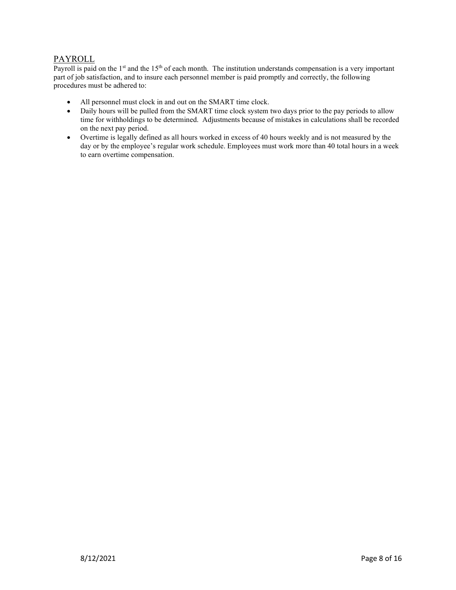# PAYROLL

Payroll is paid on the  $1<sup>st</sup>$  and the  $15<sup>th</sup>$  of each month. The institution understands compensation is a very important part of job satisfaction, and to insure each personnel member is paid promptly and correctly, the following procedures must be adhered to:

- All personnel must clock in and out on the SMART time clock.
- Daily hours will be pulled from the SMART time clock system two days prior to the pay periods to allow time for withholdings to be determined. Adjustments because of mistakes in calculations shall be recorded on the next pay period.
- Overtime is legally defined as all hours worked in excess of 40 hours weekly and is not measured by the day or by the employee's regular work schedule. Employees must work more than 40 total hours in a week to earn overtime compensation.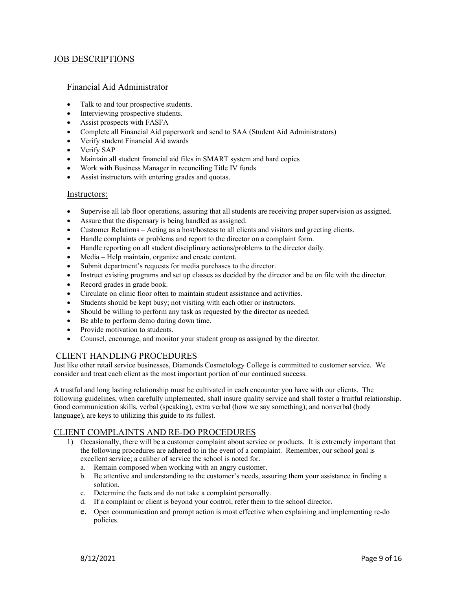#### JOB DESCRIPTIONS

#### Financial Aid Administrator

- Talk to and tour prospective students.
- Interviewing prospective students.
- Assist prospects with FASFA
- Complete all Financial Aid paperwork and send to SAA (Student Aid Administrators)
- Verify student Financial Aid awards
- Verify SAP
- Maintain all student financial aid files in SMART system and hard copies
- Work with Business Manager in reconciling Title IV funds
- Assist instructors with entering grades and quotas.

#### Instructors:

- Supervise all lab floor operations, assuring that all students are receiving proper supervision as assigned.
- Assure that the dispensary is being handled as assigned.
- Customer Relations Acting as a host/hostess to all clients and visitors and greeting clients.
- Handle complaints or problems and report to the director on a complaint form.
- Handle reporting on all student disciplinary actions/problems to the director daily.
- Media Help maintain, organize and create content.
- Submit department's requests for media purchases to the director.
- Instruct existing programs and set up classes as decided by the director and be on file with the director.
- Record grades in grade book.
- Circulate on clinic floor often to maintain student assistance and activities.
- Students should be kept busy; not visiting with each other or instructors.
- Should be willing to perform any task as requested by the director as needed.
- Be able to perform demo during down time.
- Provide motivation to students.
- Counsel, encourage, and monitor your student group as assigned by the director.

#### CLIENT HANDLING PROCEDURES

Just like other retail service businesses, Diamonds Cosmetology College is committed to customer service. We consider and treat each client as the most important portion of our continued success.

A trustful and long lasting relationship must be cultivated in each encounter you have with our clients. The following guidelines, when carefully implemented, shall insure quality service and shall foster a fruitful relationship. Good communication skills, verbal (speaking), extra verbal (how we say something), and nonverbal (body language), are keys to utilizing this guide to its fullest.

#### CLIENT COMPLAINTS AND RE-DO PROCEDURES

- 1) Occasionally, there will be a customer complaint about service or products. It is extremely important that the following procedures are adhered to in the event of a complaint. Remember, our school goal is excellent service; a caliber of service the school is noted for.
	- a. Remain composed when working with an angry customer.
	- b. Be attentive and understanding to the customer's needs, assuring them your assistance in finding a solution.
	- c. Determine the facts and do not take a complaint personally.
	- d. If a complaint or client is beyond your control, refer them to the school director.
	- e. Open communication and prompt action is most effective when explaining and implementing re-do policies.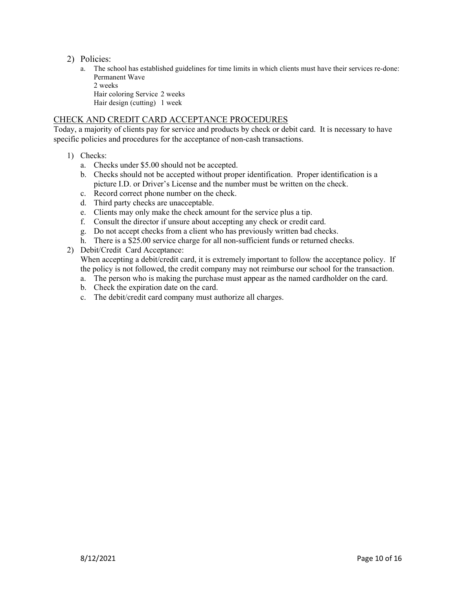- 2) Policies:
	- a. The school has established guidelines for time limits in which clients must have their services re-done: Permanent Wave 2 weeks

Hair coloring Service 2 weeks Hair design (cutting) 1 week

# CHECK AND CREDIT CARD ACCEPTANCE PROCEDURES

Today, a majority of clients pay for service and products by check or debit card. It is necessary to have specific policies and procedures for the acceptance of non-cash transactions.

- 1) Checks:
	- a. Checks under \$5.00 should not be accepted.
	- b. Checks should not be accepted without proper identification. Proper identification is a picture I.D. or Driver's License and the number must be written on the check.
	- c. Record correct phone number on the check.
	- d. Third party checks are unacceptable.
	- e. Clients may only make the check amount for the service plus a tip.
	- f. Consult the director if unsure about accepting any check or credit card.
	- g. Do not accept checks from a client who has previously written bad checks.
	- h. There is a \$25.00 service charge for all non-sufficient funds or returned checks.
- 2) Debit/Credit Card Acceptance:

When accepting a debit/credit card, it is extremely important to follow the acceptance policy. If the policy is not followed, the credit company may not reimburse our school for the transaction.

- a. The person who is making the purchase must appear as the named cardholder on the card.
- b. Check the expiration date on the card.
- c. The debit/credit card company must authorize all charges.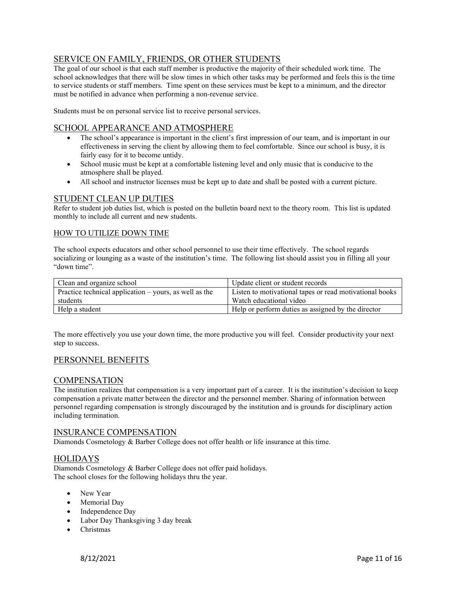# SERVICE ON FAMILY, FRIENDS, OR OTHER STUDENTS

The goal of our school is that each staff member is productive the majority of their scheduled work time. The school acknowledges that there will be slow times in which other tasks may be performed and feels this is the time to service students or staff members. Time spent on these services must be kept to a minimum, and the director must be notified in advance when performing a non-revenue service.

Students must be on personal service list to receive personal services.

#### SCHOOL APPEARANCE AND ATMOSPHERE

- The school's appearance is important in the client's first impression of our team, and is important in our effectiveness in serving the client by allowing them to feel comfortable. Since our school is busy, it is fairly easy for it to become untidy.
- School music must be kept at a comfortable listening level and only music that is conducive to the atmosphere shall be played.
- All school and instructor licenses must be kept up to date and shall be posted with a current picture.

#### STUDENT CLEAN UP DUTIES

Refer to student job duties list, which is posted on the bulletin board next to the theory room. This list is updated monthly to include all current and new students.

#### HOW TO UTILIZE DOWN TIME

The school expects educators and other school personnel to use their time effectively. The school regards socializing or lounging as a waste of the institution's time. The following list should assist you in filling all your "down time".

| Clean and organize school                              | Update client or student records                        |
|--------------------------------------------------------|---------------------------------------------------------|
| Practice technical application – yours, as well as the | Listen to motivational tapes or read motivational books |
| students                                               | Watch educational video                                 |
| Help a student                                         | Help or perform duties as assigned by the director      |

The more effectively you use your down time, the more productive you will feel. Consider productivity your next step to success.

#### PERSONNEL BENEFITS

#### **COMPENSATION**

The institution realizes that compensation is a very important part of a career. It is the institution's decision to keep compensation a private matter between the director and the personnel member. Sharing of information between personnel regarding compensation is strongly discouraged by the institution and is grounds for disciplinary action including termination.

#### INSURANCE COMPENSATION

Diamonds Cosmetology & Barber College does not offer health or life insurance at this time.

#### HOLIDAYS

Diamonds Cosmetology & Barber College does not offer paid holidays. The school closes for the following holidays thru the year.

- New Year
- Memorial Day
- Independence Day
- Labor Day Thanksgiving 3 day break
- Christmas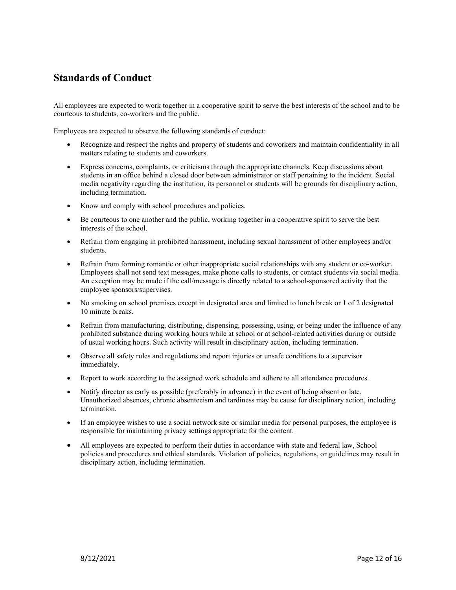# Standards of Conduct

All employees are expected to work together in a cooperative spirit to serve the best interests of the school and to be courteous to students, co-workers and the public.

Employees are expected to observe the following standards of conduct:

- Recognize and respect the rights and property of students and coworkers and maintain confidentiality in all matters relating to students and coworkers.
- Express concerns, complaints, or criticisms through the appropriate channels. Keep discussions about students in an office behind a closed door between administrator or staff pertaining to the incident. Social media negativity regarding the institution, its personnel or students will be grounds for disciplinary action, including termination.
- Know and comply with school procedures and policies.
- Be courteous to one another and the public, working together in a cooperative spirit to serve the best interests of the school.
- Refrain from engaging in prohibited harassment, including sexual harassment of other employees and/or students.
- Refrain from forming romantic or other inappropriate social relationships with any student or co-worker. Employees shall not send text messages, make phone calls to students, or contact students via social media. An exception may be made if the call/message is directly related to a school-sponsored activity that the employee sponsors/supervises.
- No smoking on school premises except in designated area and limited to lunch break or 1 of 2 designated 10 minute breaks.
- Refrain from manufacturing, distributing, dispensing, possessing, using, or being under the influence of any prohibited substance during working hours while at school or at school-related activities during or outside of usual working hours. Such activity will result in disciplinary action, including termination.
- Observe all safety rules and regulations and report injuries or unsafe conditions to a supervisor immediately.
- Report to work according to the assigned work schedule and adhere to all attendance procedures.
- Notify director as early as possible (preferably in advance) in the event of being absent or late. Unauthorized absences, chronic absenteeism and tardiness may be cause for disciplinary action, including termination.
- If an employee wishes to use a social network site or similar media for personal purposes, the employee is responsible for maintaining privacy settings appropriate for the content.
- All employees are expected to perform their duties in accordance with state and federal law, School policies and procedures and ethical standards. Violation of policies, regulations, or guidelines may result in disciplinary action, including termination.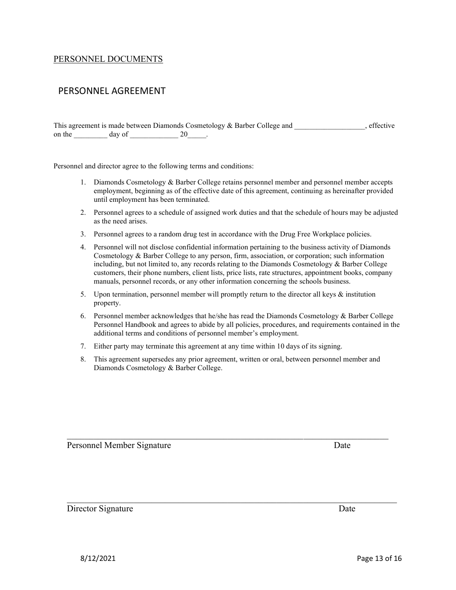#### PERSONNEL DOCUMENTS

# PERSONNEL AGREEMENT

This agreement is made between Diamonds Cosmetology & Barber College and  $\blacksquare$ , effective on the day of 20 and 20

Personnel and director agree to the following terms and conditions:

- 1. Diamonds Cosmetology & Barber College retains personnel member and personnel member accepts employment, beginning as of the effective date of this agreement, continuing as hereinafter provided until employment has been terminated.
- 2. Personnel agrees to a schedule of assigned work duties and that the schedule of hours may be adjusted as the need arises.
- 3. Personnel agrees to a random drug test in accordance with the Drug Free Workplace policies.
- 4. Personnel will not disclose confidential information pertaining to the business activity of Diamonds Cosmetology & Barber College to any person, firm, association, or corporation; such information including, but not limited to, any records relating to the Diamonds Cosmetology & Barber College customers, their phone numbers, client lists, price lists, rate structures, appointment books, company manuals, personnel records, or any other information concerning the schools business.
- 5. Upon termination, personnel member will promptly return to the director all keys & institution property.
- 6. Personnel member acknowledges that he/she has read the Diamonds Cosmetology & Barber College Personnel Handbook and agrees to abide by all policies, procedures, and requirements contained in the additional terms and conditions of personnel member's employment.
- 7. Either party may terminate this agreement at any time within 10 days of its signing.
- 8. This agreement supersedes any prior agreement, written or oral, between personnel member and Diamonds Cosmetology & Barber College.

Personnel Member Signature Date

Director Signature Date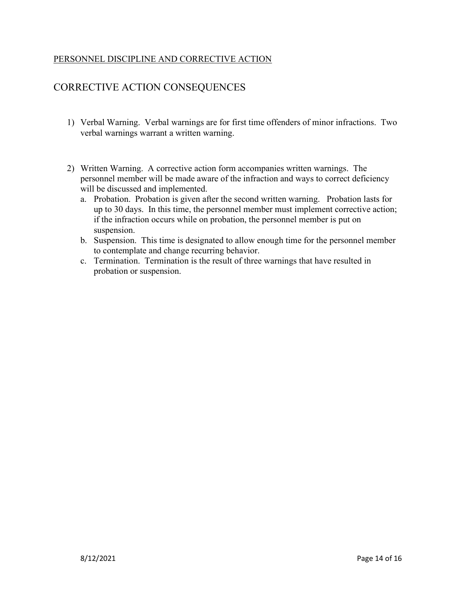# PERSONNEL DISCIPLINE AND CORRECTIVE ACTION

# CORRECTIVE ACTION CONSEQUENCES

- 1) Verbal Warning. Verbal warnings are for first time offenders of minor infractions. Two verbal warnings warrant a written warning.
- 2) Written Warning. A corrective action form accompanies written warnings. The personnel member will be made aware of the infraction and ways to correct deficiency will be discussed and implemented.
	- a. Probation. Probation is given after the second written warning. Probation lasts for up to 30 days. In this time, the personnel member must implement corrective action; if the infraction occurs while on probation, the personnel member is put on suspension.
	- b. Suspension. This time is designated to allow enough time for the personnel member to contemplate and change recurring behavior.
	- c. Termination. Termination is the result of three warnings that have resulted in probation or suspension.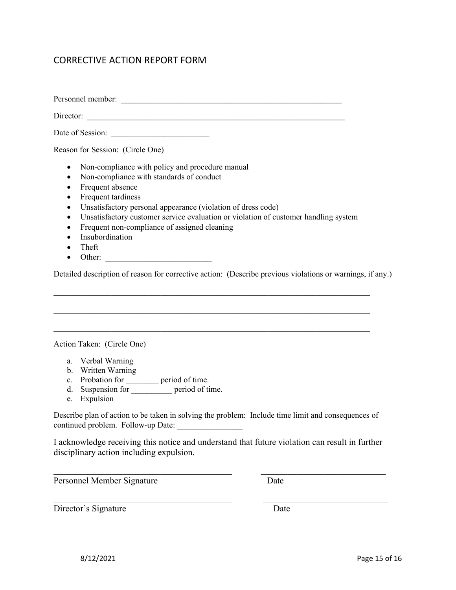# CORRECTIVE ACTION REPORT FORM

Personnel member:

Director:

Date of Session:

Reason for Session: (Circle One)

- Non-compliance with policy and procedure manual
- Non-compliance with standards of conduct
- Frequent absence
- Frequent tardiness
- Unsatisfactory personal appearance (violation of dress code)
- Unsatisfactory customer service evaluation or violation of customer handling system
- Frequent non-compliance of assigned cleaning
- Insubordination
- Theft
- $\bullet$  Other:

Detailed description of reason for corrective action: (Describe previous violations or warnings, if any.)

 $\mathcal{L}_\mathcal{L} = \mathcal{L}_\mathcal{L} = \mathcal{L}_\mathcal{L} = \mathcal{L}_\mathcal{L} = \mathcal{L}_\mathcal{L} = \mathcal{L}_\mathcal{L} = \mathcal{L}_\mathcal{L} = \mathcal{L}_\mathcal{L} = \mathcal{L}_\mathcal{L} = \mathcal{L}_\mathcal{L} = \mathcal{L}_\mathcal{L} = \mathcal{L}_\mathcal{L} = \mathcal{L}_\mathcal{L} = \mathcal{L}_\mathcal{L} = \mathcal{L}_\mathcal{L} = \mathcal{L}_\mathcal{L} = \mathcal{L}_\mathcal{L}$ 

Action Taken: (Circle One)

- a. Verbal Warning
- b. Written Warning
- c. Probation for \_\_\_\_\_\_\_\_ period of time.
- d. Suspension for <u>equal</u> period of time.
- e. Expulsion

Describe plan of action to be taken in solving the problem: Include time limit and consequences of continued problem. Follow-up Date: \_\_\_\_\_\_\_\_\_\_\_\_\_\_\_\_

I acknowledge receiving this notice and understand that future violation can result in further disciplinary action including expulsion.

Personnel Member Signature Date

Director's Signature Date